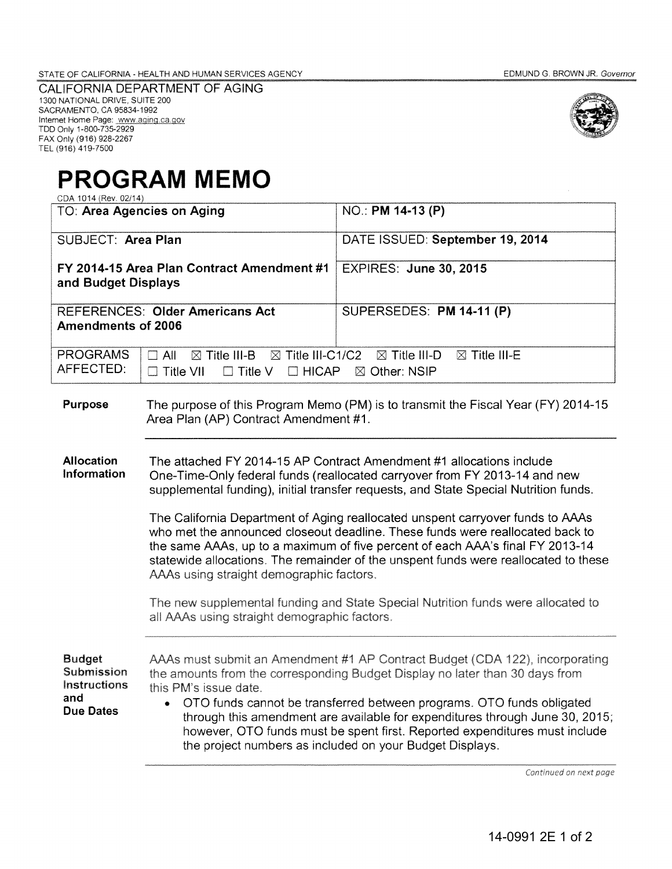CALIFORNIA DEPARTMENT OF AGING 1300 NATIONAL DRIVE, SUITE 200 SACRAMENTO, CA 95834-1992<br>Internet Home Page: www.aging.ca.gov<br>TDD Only 1-800-735-2929 FAX Only (916) 928-2267 TEL (916) 419-7500



## **PROGRAM MEMO**  CDA 1014 (Rev. 02/14)

| ◡◡៸៶ ៶៴ ៶⊤ ៶៶៶៶៸៶៸៴៳៸ ៶⊤៸<br>TO: Area Agencies on Aging                       |                                                                                                                                                                                                                                                                                                                                                                                                                                                                                                                                                                                                                                   | NO.: PM 14-13 (P)                                                                                                                                                                                                                                                                                                                                                                                                                                                                         |
|-------------------------------------------------------------------------------|-----------------------------------------------------------------------------------------------------------------------------------------------------------------------------------------------------------------------------------------------------------------------------------------------------------------------------------------------------------------------------------------------------------------------------------------------------------------------------------------------------------------------------------------------------------------------------------------------------------------------------------|-------------------------------------------------------------------------------------------------------------------------------------------------------------------------------------------------------------------------------------------------------------------------------------------------------------------------------------------------------------------------------------------------------------------------------------------------------------------------------------------|
| SUBJECT: Area Plan                                                            |                                                                                                                                                                                                                                                                                                                                                                                                                                                                                                                                                                                                                                   | DATE ISSUED: September 19, 2014                                                                                                                                                                                                                                                                                                                                                                                                                                                           |
| FY 2014-15 Area Plan Contract Amendment #1<br>and Budget Displays             |                                                                                                                                                                                                                                                                                                                                                                                                                                                                                                                                                                                                                                   | <b>EXPIRES: June 30, 2015</b>                                                                                                                                                                                                                                                                                                                                                                                                                                                             |
| <b>REFERENCES: Older Americans Act</b><br><b>Amendments of 2006</b>           |                                                                                                                                                                                                                                                                                                                                                                                                                                                                                                                                                                                                                                   | SUPERSEDES: PM 14-11 (P)                                                                                                                                                                                                                                                                                                                                                                                                                                                                  |
| <b>PROGRAMS</b><br>AFFECTED:                                                  | $\boxtimes$ Title III-C1/C2<br>$\boxtimes$ Title III-B<br>$\square$ All<br>$\Box$ HICAP<br>$\Box$ Title VII<br>$\Box$ Title V                                                                                                                                                                                                                                                                                                                                                                                                                                                                                                     | $\boxtimes$ Title III-D<br>$\boxtimes$ Title III-E<br>⊠ Other: NSIP                                                                                                                                                                                                                                                                                                                                                                                                                       |
| Purpose                                                                       | Area Plan (AP) Contract Amendment #1.                                                                                                                                                                                                                                                                                                                                                                                                                                                                                                                                                                                             | The purpose of this Program Memo (PM) is to transmit the Fiscal Year (FY) 2014-15                                                                                                                                                                                                                                                                                                                                                                                                         |
| <b>Allocation</b><br>Information                                              | The attached FY 2014-15 AP Contract Amendment #1 allocations include<br>One-Time-Only federal funds (reallocated carryover from FY 2013-14 and new<br>supplemental funding), initial transfer requests, and State Special Nutrition funds.<br>The California Department of Aging reallocated unspent carryover funds to AAAs<br>who met the announced closeout deadline. These funds were reallocated back to<br>the same AAAs, up to a maximum of five percent of each AAA's final FY 2013-14<br>statewide allocations. The remainder of the unspent funds were reallocated to these<br>AAAs using straight demographic factors. |                                                                                                                                                                                                                                                                                                                                                                                                                                                                                           |
|                                                                               | all AAAs using straight demographic factors.                                                                                                                                                                                                                                                                                                                                                                                                                                                                                                                                                                                      | The new supplemental funding and State Special Nutrition funds were allocated to                                                                                                                                                                                                                                                                                                                                                                                                          |
| <b>Budget</b><br>Submission<br><b>Instructions</b><br>and<br><b>Due Dates</b> | this PM's issue date.                                                                                                                                                                                                                                                                                                                                                                                                                                                                                                                                                                                                             | AAAs must submit an Amendment #1 AP Contract Budget (CDA 122), incorporating<br>the amounts from the corresponding Budget Display no later than 30 days from<br>OTO funds cannot be transferred between programs. OTO funds obligated<br>through this amendment are available for expenditures through June 30, 2015;<br>however, OTO funds must be spent first. Reported expenditures must include<br>the project numbers as included on your Budget Displays.<br>Continued on next page |